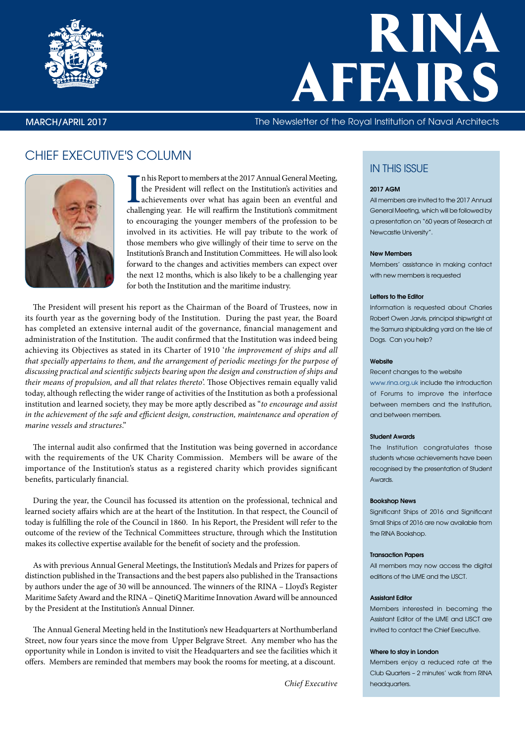

# RINA AFFAIRS

### MARCH/APRIL 2017 The Newsletter of the Royal Institution of Naval Architects

# CHIEF EXECUTIVE'S COLUMN



In his Report to members at the 2017 Annual General Meeting, the President will reflect on the Institution's activities and achievements over what has again been an eventful and challenging year. He will reaffirm the Insti n his Report to members at the 2017 Annual General Meeting, the President will reflect on the Institution's activities and achievements over what has again been an eventful and to encouraging the younger members of the profession to be involved in its activities. He will pay tribute to the work of those members who give willingly of their time to serve on the Institution's Branch and Institution Committees. He will also look forward to the changes and activities members can expect over the next 12 months, which is also likely to be a challenging year for both the Institution and the maritime industry.

The President will present his report as the Chairman of the Board of Trustees, now in its fourth year as the governing body of the Institution. During the past year, the Board has completed an extensive internal audit of the governance, financial management and administration of the Institution. The audit confirmed that the Institution was indeed being achieving its Objectives as stated in its Charter of 1910 '*the improvement of ships and all that specially appertains to them, and the arrangement of periodic meetings for the purpose of discussing practical and scientific subjects bearing upon the design and construction of ships and their means of propulsion, and all that relates thereto*'. Those Objectives remain equally valid today, although reflecting the wider range of activities of the Institution as both a professional institution and learned society, they may be more aptly described as "*to encourage and assist in the achievement of the safe and efficient design, construction, maintenance and operation of marine vessels and structures*."

The internal audit also confirmed that the Institution was being governed in accordance with the requirements of the UK Charity Commission. Members will be aware of the importance of the Institution's status as a registered charity which provides significant benefits, particularly financial.

During the year, the Council has focussed its attention on the professional, technical and learned society affairs which are at the heart of the Institution. In that respect, the Council of today is fulfilling the role of the Council in 1860. In his Report, the President will refer to the outcome of the review of the Technical Committees structure, through which the Institution makes its collective expertise available for the benefit of society and the profession.

As with previous Annual General Meetings, the Institution's Medals and Prizes for papers of distinction published in the Transactions and the best papers also published in the Transactions by authors under the age of 30 will be announced. The winners of the RINA – Lloyd's Register Maritime Safety Award and the RINA – QinetiQ Maritime Innovation Award will be announced by the President at the Institution's Annual Dinner.

The Annual General Meeting held in the Institution's new Headquarters at Northumberland Street, now four years since the move from Upper Belgrave Street. Any member who has the opportunity while in London is invited to visit the Headquarters and see the facilities which it offers. Members are reminded that members may book the rooms for meeting, at a discount.

*Chief Executive*

# IN THIS ISSUE

#### 2017 AGM

All members are invited to the 2017 Annual General Meeting, which will be followed by a presentation on "60 years of Research at Newcastle University".

#### New Members

Members' assistance in making contact with new members is requested

#### Letters to the Editor

Information is requested about Charles Robert Owen Jarvis, principal shipwright at the Samura shipbuilding yard on the Isle of Dogs. Can you help?

#### Website

Recent changes to the website

www.rina.org.uk include the introduction of Forums to improve the interface between members and the Institution, and between members.

#### Student Awards

The Institution congratulates those students whose achievements have been recognised by the presentation of Student Awards.

#### Bookshop News

Significant Ships of 2016 and Significant Small Ships of 2016 are now available from the RINA Bookshop.

#### Transaction Papers

All members may now access the digital editions of the IJME and the IJSCT.

#### Assistant Editor

Members interested in becoming the Assistant Editor of the IJME and IJSCT are invited to contact the Chief Executive.

#### Where to stay in London

Members enjoy a reduced rate at the Club Quarters – 2 minutes' walk from RINA headquarters.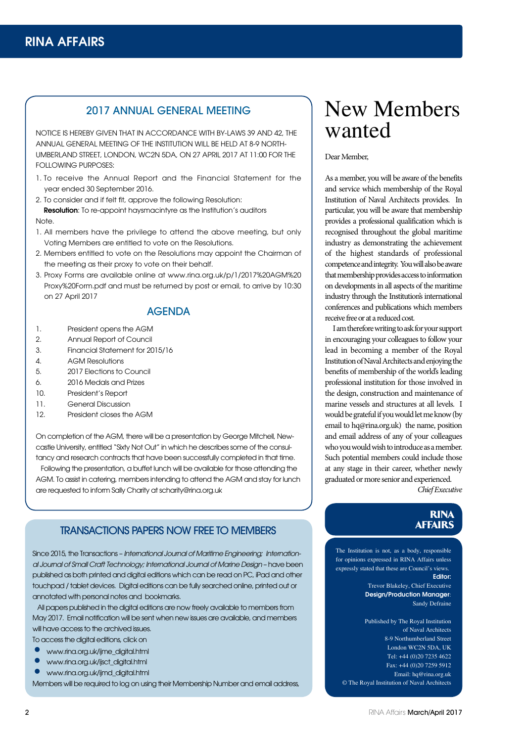# 2017 ANNUAL GENERAL MEETING

NOTICE IS HEREBY GIVEN THAT IN ACCORDANCE WITH BY-LAWS 39 AND 42, THE ANNUAL GENERAL MEETING OF THE INSTITUTION WILL BE HELD AT 8-9 NORTH-UMBERLAND STREET, LONDON, WC2N 5DA, ON 27 APRIL 2017 AT 11:00 FOR THE FOLLOWING PURPOSES:

1. To receive the Annual Report and the Financial Statement for the year ended 30 September 2016.

2. To consider and if felt fit, approve the following Resolution:

**Resolution:** To re-appoint haysmacintyre as the Institution's auditors Note.

- 1. All members have the privilege to attend the above meeting, but only Voting Members are entitled to vote on the Resolutions.
- 2. Members entitled to vote on the Resolutions may appoint the Chairman of the meeting as their proxy to vote on their behalf.
- 3. Proxy Forms are available online at [www.rina.org.uk/p/1/2017%20AGM%20](http://www.rina.org.uk/p/1/2017%20AGM%20Proxy%20Form.pdf) Proxy%20Form.pdf and must be returned by post or email, to arrive by 10:30 on 27 April 2017

# AGENDA

- 1. President opens the AGM
- 2. Annual Report of Council
- 3. Financial Statement for 2015/16
- 4. AGM Resolutions
- 5. 2017 Elections to Council
- 6. 2016 Medals and Prizes
- 10. President's Report
- 11. General Discussion
- 12. President closes the AGM

On completion of the AGM, there will be a presentation by George Mitchell, Newcastle University, entitled "Sixty Not Out" in which he describes some of the consultancy and research contracts that have been successfully completed in that time.

 Following the presentation, a buffet lunch will be available for those attending the AGM. To assist in catering, members intending to attend the AGM and stay for lunch are requested to inform Sally Charity at [scharity@rina.org.uk](mailto:scharity@rina.org.uk)

# TRANSACTIONS PAPERS NOW FREE TO MEMBERS

Since 2015, the Transactions – *International Journal of Maritime Engineering; International Journal of Small Craft Technology; International Journal of Marine Design* – have been published as both printed and digital editions which can be read on PC, iPad and other touchpad / tablet devices. Digital editions can be fully searched online, printed out or annotated with personal notes and bookmarks.

 All papers published in the digital editions are now freely available to members from May 2017. Email notification will be sent when new issues are available, and members will have access to the archived issues.

To access the digital editions, click on

- [www.rina.org.uk/ijme\\_digital.html](http://www.rina.org.uk/ijme_digital.html)
- [www.rina.org.uk/ijsct\\_digital.html](http://www.rina.org.uk/ijsct_digital.html)
- [www.rina.org.uk/ijmd\\_digital.html](http://www.rina.org.uk/ijmd_digital.html)

Members will be required to log on using their Membership Number and email address,

# New Members wanted

#### Dear Member,

As a member, you will be aware of the benefits and service which membership of the Royal Institution of Naval Architects provides. In particular, you will be aware that membership provides a professional qualification which is recognised throughout the global maritime industry as demonstrating the achievement of the highest standards of professional competence and integrity. You will also be aware that membership provides access to information on developments in all aspects of the maritime industry through the Institution's international conferences and publications which members receive free or at a reduced cost.

I am therefore writing to ask for your support in encouraging your colleagues to follow your lead in becoming a member of the Royal Institution of Naval Architects and enjoying the benefits of membership of the world's leading professional institution for those involved in the design, construction and maintenance of marine vessels and structures at all levels. I would be grateful if you would let me know (by email to [hq@rina.org.uk\) th](mailto:hq@rina.org.uk)e name, position and email address of any of your colleagues who you would wish to introduce as a member. Such potential members could include those at any stage in their career, whether newly graduated or more senior and experienced.

*Chief Executive*

# **RINA**<br>AFFAIRS

The Institution is not, as a body, responsible for opinions expressed in RINA Affairs unless expressly stated that these are Council's views. Editor: Trevor Blakeley, Chief Executive Design/Production Manager: Sandy Defraine

Published by The Royal Institution of Naval Architects 8-9 Northumberland Street London WC2N 5DA, UK Tel: +44 (0)20 7235 4622 Fax: +44 (0)20 7259 5912 Email: [hq@rina.org.uk](mailto:hq@rina.org.uk) © The Royal Institution of Naval Architects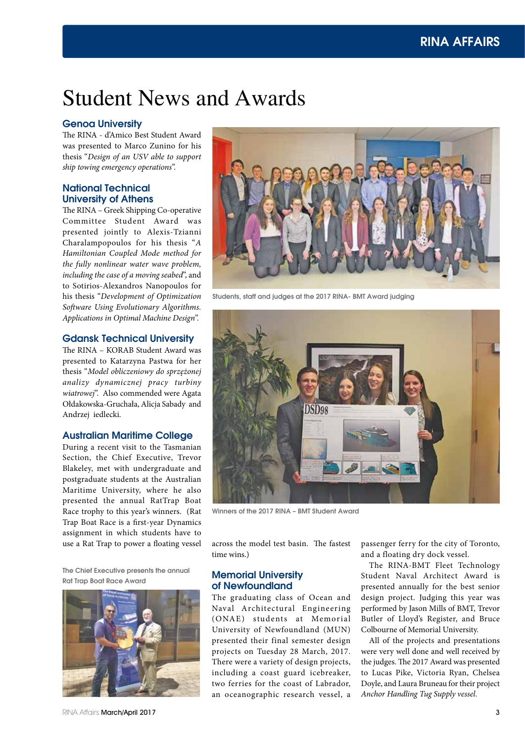# Student News and Awards

# Genoa University

The RINA - d'Amico Best Student Award was presented to Marco Zunino for his thesis "*Design of an USV able to support ship towing emergency operations*".

# National Technical University of Athens

The RINA – Greek Shipping Co-operative Committee Student Award was presented jointly to Alexis-Tzianni Charalampopoulos for his thesis "*A Hamiltonian Coupled Mode method for the fully nonlinear water wave problem, including the case of a moving seabed*", and to Sotirios-Alexandros Nanopoulos for his thesis "*Development of Optimization Software Using Evolutionary Algorithms. Applications in Optimal Machine Design*".

### Gdansk Technical University

The RINA – KORAB Student Award was presented to Katarzyna Pastwa for her thesis "*Model obliczeniowy do sprzężonej analizy dynamicznej pracy turbiny wiatrowej*". Also commended were Agata Ołdakowska-Gruchała, Alicja Sabady and Andrzej iedlecki.

# Australian Maritime College

During a recent visit to the Tasmanian Section, the Chief Executive, Trevor Blakeley, met with undergraduate and postgraduate students at the Australian Maritime University, where he also presented the annual RatTrap Boat Race trophy to this year's winners. (Rat Trap Boat Race is a first-year Dynamics assignment in which students have to use a Rat Trap to power a floating vessel across the model test basin. The fastest

The Chief Executive presents the annual Rat Trap Boat Race Award



RINA Affairs March/April 2017



Students, staff and judges at the 2017 RINA- BMT Award judging



Winners of the 2017 RINA – BMT Student Award

time wins.)

# Memorial University of Newfoundland

The graduating class of Ocean and Naval Architectural Engineering (ONAE) students at Memorial University of Newfoundland (MUN) presented their final semester design projects on Tuesday 28 March, 2017. There were a variety of design projects, including a coast guard icebreaker, two ferries for the coast of Labrador, an oceanographic research vessel, a

passenger ferry for the city of Toronto, and a floating dry dock vessel.

The RINA-BMT Fleet Technology Student Naval Architect Award is presented annually for the best senior design project. Judging this year was performed by Jason Mills of BMT, Trevor Butler of Lloyd's Register, and Bruce Colbourne of Memorial University.

All of the projects and presentations were very well done and well received by the judges. The 2017 Award was presented to Lucas Pike, Victoria Ryan, Chelsea Doyle, and Laura Bruneau for their project *Anchor Handling Tug Supply vessel*.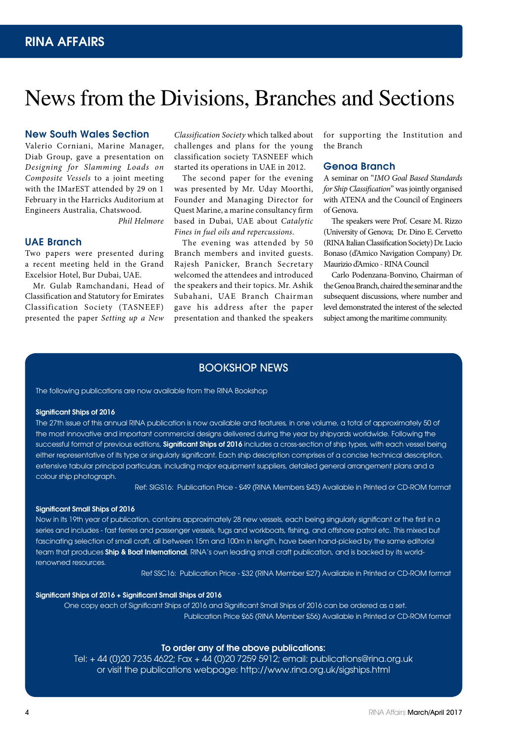# News from the Divisions, Branches and Sections

### New South Wales Section

Valerio Corniani, Marine Manager, Diab Group, gave a presentation on *Designing for Slamming Loads on Composite Vessels* to a joint meeting with the IMarEST attended by 29 on 1 February in the Harricks Auditorium at Engineers Australia, Chatswood.

*Phil Helmore*

# UAE Branch

Two papers were presented during a recent meeting held in the Grand Excelsior Hotel, Bur Dubai, UAE.

Mr. Gulab Ramchandani, Head of Classification and Statutory for Emirates Classification Society (TASNEEF) presented the paper *Setting up a New* 

*Classification Society* which talked about challenges and plans for the young classification society TASNEEF which started its operations in UAE in 2012.

The second paper for the evening was presented by Mr. Uday Moorthi, Founder and Managing Director for Quest Marine, a marine consultancy firm based in Dubai, UAE about *Catalytic Fines in fuel oils and repercussions*.

The evening was attended by 50 Branch members and invited guests. Rajesh Panicker, Branch Secretary welcomed the attendees and introduced the speakers and their topics. Mr. Ashik Subahani, UAE Branch Chairman gave his address after the paper presentation and thanked the speakers

for supporting the Institution and the Branch

# Genoa Branch

A seminar on "*IMO Goal Based Standards for Ship Classification*" was jointly organised with ATENA and the Council of Engineers of Genova.

The speakers were Prof. Cesare M. Rizzo (University of Genova; Dr. Dino E. Cervetto (RINA Italian Classification Society) Dr. Lucio Bonaso (d'Amico Navigation Company) Dr. Maurizio d'Amico - RINA Council

Carlo Podenzana-Bonvino, Chairman of the Genoa Branch, chaired the seminar and the subsequent discussions, where number and level demonstrated the interest of the selected subject among the maritime community.

# BOOKSHOP NEWS

The following publications are now available from the RINA Bookshop

#### Significant Ships of 2016

The 27th issue of this annual RINA publication is now available and features, in one volume, a total of approximately 50 of the most innovative and important commercial designs delivered during the year by shipyards worldwide. Following the successful format of previous editions, Significant Ships of 2016 includes a cross-section of ship types, with each vessel being either representative of its type or singularly significant. Each ship description comprises of a concise technical description, extensive tabular principal particulars, including major equipment suppliers, detailed general arrangement plans and a colour ship photograph.

Ref: SIGS16: Publication Price - £49 (RINA Members £43) Available in Printed or CD-ROM format

#### Significant Small Ships of 2016

Now in its 19th year of publication, contains approximately 28 new vessels, each being singularly significant or the first in a series and includes - fast ferries and passenger vessels, tugs and workboats, fishing, and offshore patrol etc. This mixed but fascinating selection of small craft, all between 15m and 100m in length, have been hand-picked by the same editorial team that produces Ship & Boat International, RINA's own leading small craft publication, and is backed by its worldrenowned resources.

Ref SSC16: Publication Price - £32 (RINA Member £27) Available in Printed or CD-ROM format

### Significant Ships of 2016 + Significant Small Ships of 2016

 One copy each of Significant Ships of 2016 and Significant Small Ships of 2016 can be ordered as a set. Publication Price £65 (RINA Member £56) Available in Printed or CD-ROM format

#### To order any of the above publications:

Tel: + 44 (0)20 7235 4622; Fax + 44 (0)20 7259 5912; email: publications@rina.org.uk or visit the publications webpage: http://www.rina.org.uk/sigships.html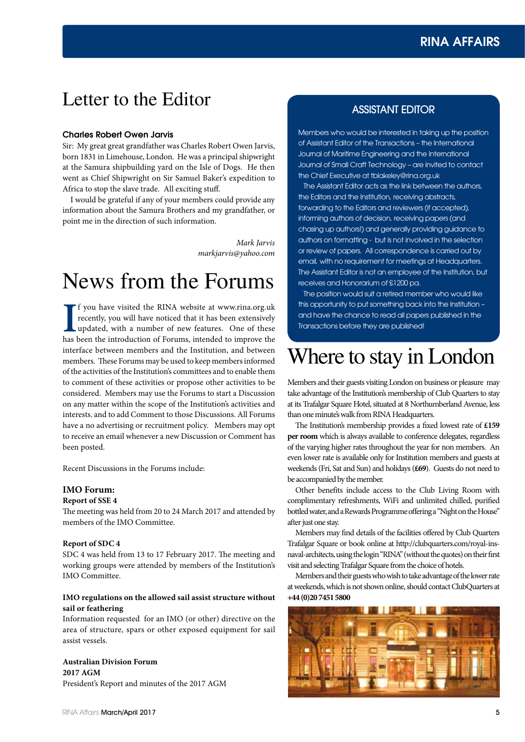# RINA AFFAIRS

# Letter to the Editor ASSISTANT EDITOR

#### Charles Robert Owen Jarvis

Sir: My great great grandfather was Charles Robert Owen Jarvis, born 1831 in Limehouse, London. He was a principal shipwright at the Samura shipbuilding yard on the Isle of Dogs. He then went as Chief Shipwright on Sir Samuel Baker's expedition to Africa to stop the slave trade. All exciting stuff.

I would be grateful if any of your members could provide any information about the Samura Brothers and my grandfather, or point me in the direction of such information.

> *Mark Jarvis markjarvis@yahoo.com*

# News from the Forums

If you have visited the RINA website at www.rina.org.uk recently, you will have noticed that it has been extensively updated, with a number of new features. One of these has been the introduction of Forums, intended to imp f you have visited the RINA website at www.rina.org.uk recently, you will have noticed that it has been extensively updated, with a number of new features. One of these interface between members and the Institution, and between members. These Forums may be used to keep members informed of the activities of the Institution's committees and to enable them to comment of these activities or propose other activities to be considered. Members may use the Forums to start a Discussion on any matter within the scope of the Institution's activities and interests. and to add Comment to those Discussions. All Forums have a no advertising or recruitment policy. Members may opt to receive an email whenever a new Discussion or Comment has been posted.

Recent Discussions in the Forums include:

#### **IMO Forum:**

#### **Report of SSE 4**

The meeting was held from 20 to 24 March 2017 and attended by members of the IMO Committee.

#### **Report of SDC 4**

SDC 4 was held from 13 to 17 February 2017. The meeting and working groups were attended by members of the Institution's IMO Committee.

# **IMO regulations on the allowed sail assist structure without sail or feathering**

Information requested for an IMO (or other) directive on the area of structure, spars or other exposed equipment for sail assist vessels.

**Australian Division Forum 2017 AGM** President's Report and minutes of the 2017 AGM

Members who would be interested in taking up the position of Assistant Editor of the Transactions – the International Journal of Maritime Engineering and the International Journal of Small Craft Technology – are invited to contact the Chief Executive at tblakeley@rina.org.uk

 The Assistant Editor acts as the link between the authors, the Editors and the Institution, receiving abstracts, forwarding to the Editors and reviewers (if accepted), informing authors of decision, receiving papers (and chasing up authors!) and generally providing guidance to authors on formatting - but is not involved in the selection or review of papers. All correspondence is carried out by email, with no requirement for meetings at Headquarters. The Assistant Editor is not an employee of the Institution, but receives and Honorarium of £1200 pa.

 The position would suit a retired member who would like this opportunity to put something back into the Institution – and have the chance to read all papers published in the Transactions before they are published!

# Where to stay in London

Members and their guests visiting London on business or pleasure may take advantage of the Institution's membership of Club Quarters to stay at its Trafalgar Square Hotel, situated at 8 Northumberland Avenue, less than one minute's walk from RINA Headquarters.

The Institution's membership provides a fixed lowest rate of **£159 per room** which is always available to conference delegates, regardless of the varying higher rates throughout the year for non members. An even lower rate is available only for Institution members and guests at weekends (Fri, Sat and Sun) and holidays (**£69**). Guests do not need to be accompanied by the member.

Other benefits include access to the Club Living Room with complimentary refreshments, WiFi and unlimited chilled, purified bottled water, and a Rewards Programme offering a "Night on the House" after just one stay.

Members may find details of the facilities offered by Club Quarters Trafalgar Square or book online at http://clubquarters.com/royal-insnaval-architects, using the login "RINA" (without the quotes) on their first visit and selecting Trafalgar Square from the choice of hotels.

Members and their guests who wish to take advantage of the lower rate at weekends, which is not shown online, should contact ClubQuarters at **+44 (0)20 7451 5800**